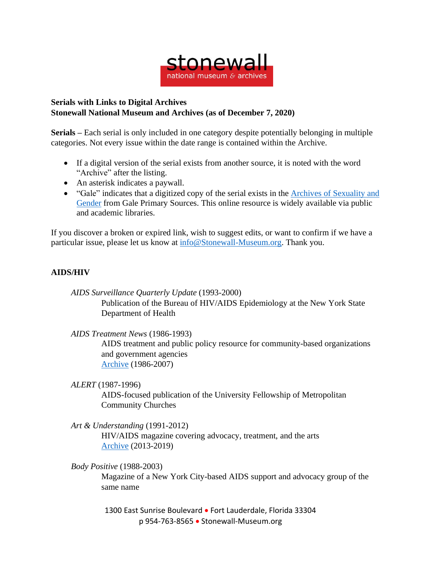

## **Serials with Links to Digital Archives Stonewall National Museum and Archives (as of December 7, 2020)**

**Serials –** Each serial is only included in one category despite potentially belonging in multiple categories. Not every issue within the date range is contained within the Archive.

- If a digital version of the serial exists from another source, it is noted with the word "Archive" after the listing.
- An asterisk indicates a paywall.
- "Gale" indicates that a digitized copy of the serial exists in the Archives of [Sexuality](https://www.gale.com/primary-sources/archives-of-sexuality-and-gender) and [Gender](https://www.gale.com/primary-sources/archives-of-sexuality-and-gender) from Gale Primary Sources. This online resource is widely available via public and academic libraries.

If you discover a broken or expired link, wish to suggest edits, or want to confirm if we have a particular issue, please let us know at [info@Stonewall-Museum.org.](mailto:info@Stonewall-Museum.org) Thank you.

## **AIDS/HIV**

*AIDS Surveillance Quarterly Update* (1993-2000) Publication of the Bureau of HIV/AIDS Epidemiology at the New York State Department of Health

*AIDS Treatment News* (1986-1993)

AIDS treatment and public policy resource for community-based organizations and government agencies [Archive](https://drive.google.com/drive/folders/1hoLFO5Y-0HL0fQpxlp-_KhM8F3EejM_D) (1986-2007)

*ALERT* (1987-1996)

AIDS-focused publication of the University Fellowship of Metropolitan Community Churches

*Art & Understanding* (1991-2012)

HIV/AIDS magazine covering advocacy, treatment, and the arts [Archive](https://issuu.com/aumagazine) (2013-2019)

*Body Positive* (1988-2003)

Magazine of a New York City-based AIDS support and advocacy group of the same name

1300 East Sunrise Boulevard • Fort Lauderdale, Florida 33304 p 954-763-8565 • Stonewall-Museum.org